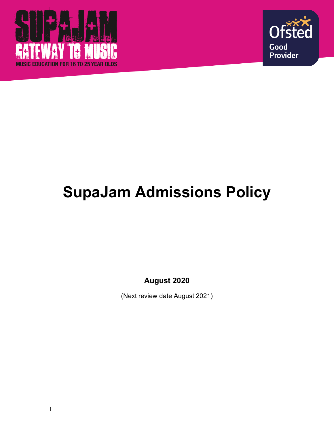



# **SupaJam Admissions Policy**

**August 2020**

(Next review date August 2021)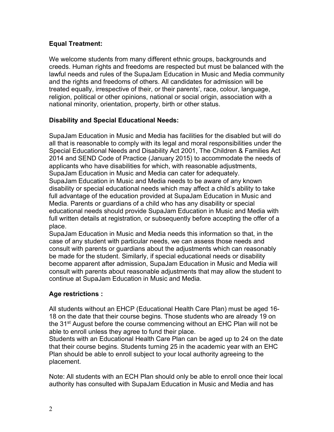## **Equal Treatment:**

We welcome students from many different ethnic groups, backgrounds and creeds. Human rights and freedoms are respected but must be balanced with the lawful needs and rules of the SupaJam Education in Music and Media community and the rights and freedoms of others. All candidates for admission will be treated equally, irrespective of their, or their parents', race, colour, language, religion, political or other opinions, national or social origin, association with a national minority, orientation, property, birth or other status.

## **Disability and Special Educational Needs:**

SupaJam Education in Music and Media has facilities for the disabled but will do all that is reasonable to comply with its legal and moral responsibilities under the Special Educational Needs and Disability Act 2001, The Children & Families Act 2014 and SEND Code of Practice (January 2015) to accommodate the needs of applicants who have disabilities for which, with reasonable adjustments, SupaJam Education in Music and Media can cater for adequately. SupaJam Education in Music and Media needs to be aware of any known disability or special educational needs which may affect a child's ability to take full advantage of the education provided at SupaJam Education in Music and Media. Parents or guardians of a child who has any disability or special educational needs should provide SupaJam Education in Music and Media with full written details at registration, or subsequently before accepting the offer of a place.

SupaJam Education in Music and Media needs this information so that, in the case of any student with particular needs, we can assess those needs and consult with parents or guardians about the adjustments which can reasonably be made for the student. Similarly, if special educational needs or disability become apparent after admission, SupaJam Education in Music and Media will consult with parents about reasonable adjustments that may allow the student to continue at SupaJam Education in Music and Media.

## **Age restrictions :**

All students without an EHCP (Educational Health Care Plan) must be aged 16- 18 on the date that their course begins. Those students who are already 19 on the 31<sup>st</sup> August before the course commencing without an EHC Plan will not be able to enroll unless they agree to fund their place.

Students with an Educational Health Care Plan can be aged up to 24 on the date that their course begins. Students turning 25 in the academic year with an EHC Plan should be able to enroll subject to your local authority agreeing to the placement.

Note: All students with an ECH Plan should only be able to enroll once their local authority has consulted with SupaJam Education in Music and Media and has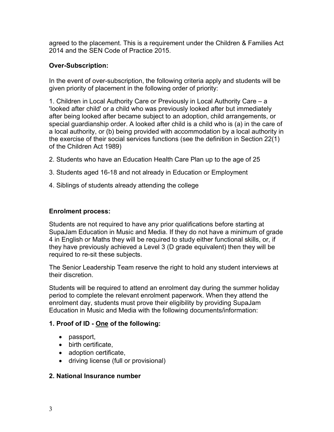agreed to the placement. This is a requirement under the Children & Families Act 2014 and the SEN Code of Practice 2015.

#### **Over-Subscription:**

In the event of over-subscription, the following criteria apply and students will be given priority of placement in the following order of priority:

1. Children in Local Authority Care or Previously in Local Authority Care – a 'looked after child' or a child who was previously looked after but immediately after being looked after became subject to an adoption, child arrangements, or special guardianship order. A looked after child is a child who is (a) in the care of a local authority, or (b) being provided with accommodation by a local authority in the exercise of their social services functions (see the definition in Section 22(1) of the Children Act 1989)

- 2. Students who have an Education Health Care Plan up to the age of 25
- 3. Students aged 16-18 and not already in Education or Employment
- 4. Siblings of students already attending the college

#### **Enrolment process:**

Students are not required to have any prior qualifications before starting at SupaJam Education in Music and Media. If they do not have a minimum of grade 4 in English or Maths they will be required to study either functional skills, or, if they have previously achieved a Level 3 (D grade equivalent) then they will be required to re-sit these subjects.

The Senior Leadership Team reserve the right to hold any student interviews at their discretion.

Students will be required to attend an enrolment day during the summer holiday period to complete the relevant enrolment paperwork. When they attend the enrolment day, students must prove their eligibility by providing SupaJam Education in Music and Media with the following documents/information:

## **1. Proof of ID - One of the following:**

- passport,
- birth certificate,
- adoption certificate.
- driving license (full or provisional)

#### **2. National Insurance number**